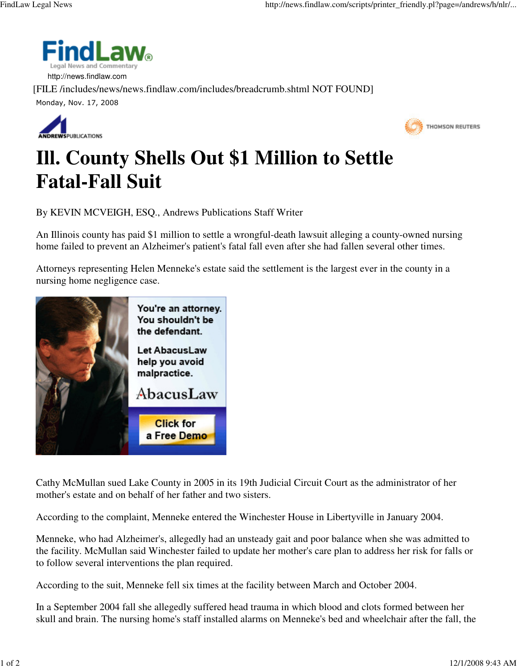

 http://news.findlaw.com [FILE /includes/news/news.findlaw.com/includes/breadcrumb.shtml NOT FOUND] Monday, Nov. 17, 2008





## **Ill. County Shells Out \$1 Million to Settle Fatal-Fall Suit**

By KEVIN MCVEIGH, ESQ., Andrews Publications Staff Writer

An Illinois county has paid \$1 million to settle a wrongful-death lawsuit alleging a county-owned nursing home failed to prevent an Alzheimer's patient's fatal fall even after she had fallen several other times.

Attorneys representing Helen Menneke's estate said the settlement is the largest ever in the county in a nursing home negligence case.



Cathy McMullan sued Lake County in 2005 in its 19th Judicial Circuit Court as the administrator of her mother's estate and on behalf of her father and two sisters.

According to the complaint, Menneke entered the Winchester House in Libertyville in January 2004.

Menneke, who had Alzheimer's, allegedly had an unsteady gait and poor balance when she was admitted to the facility. McMullan said Winchester failed to update her mother's care plan to address her risk for falls or to follow several interventions the plan required.

According to the suit, Menneke fell six times at the facility between March and October 2004.

In a September 2004 fall she allegedly suffered head trauma in which blood and clots formed between her skull and brain. The nursing home's staff installed alarms on Menneke's bed and wheelchair after the fall, the